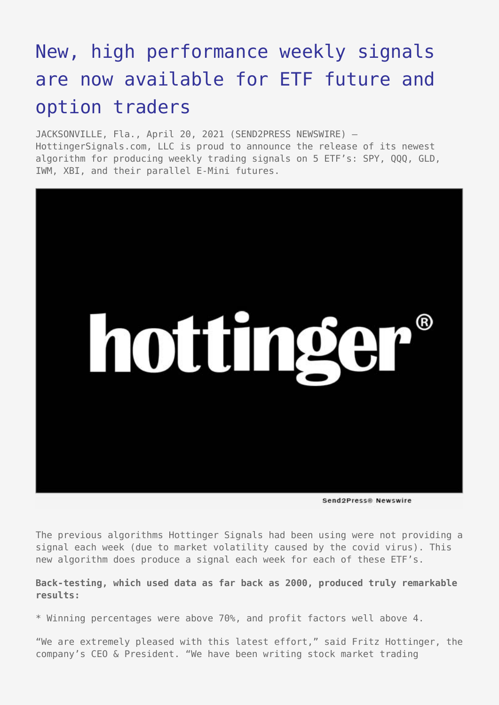## [New, high performance weekly signals](https://www.send2press.com/wire/new-high-performance-weekly-signals-are-now-available-for-etf-future-and-option-traders/) [are now available for ETF future and](https://www.send2press.com/wire/new-high-performance-weekly-signals-are-now-available-for-etf-future-and-option-traders/) [option traders](https://www.send2press.com/wire/new-high-performance-weekly-signals-are-now-available-for-etf-future-and-option-traders/)

JACKSONVILLE, Fla., April 20, 2021 (SEND2PRESS NEWSWIRE) — HottingerSignals.com, LLC is proud to announce the release of its newest algorithm for producing weekly trading signals on 5 ETF's: SPY, QQQ, GLD, IWM, XBI, and their parallel E-Mini futures.



Send2Press® Newswire

The previous algorithms Hottinger Signals had been using were not providing a signal each week (due to market volatility caused by the covid virus). This new algorithm does produce a signal each week for each of these ETF's.

**Back-testing, which used data as far back as 2000, produced truly remarkable results:**

\* Winning percentages were above 70%, and profit factors well above 4.

"We are extremely pleased with this latest effort," said Fritz Hottinger, the company's CEO & President. "We have been writing stock market trading